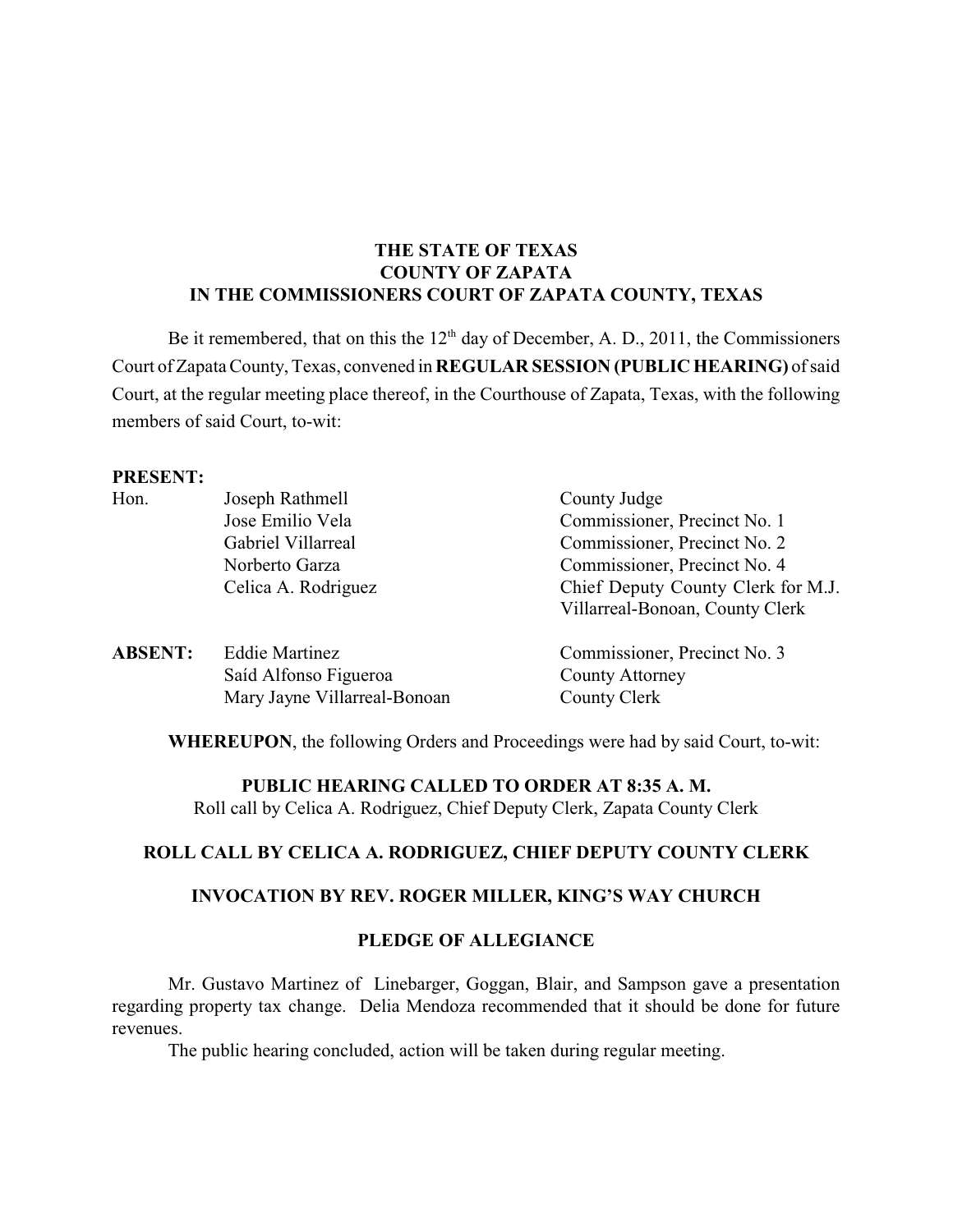## **THE STATE OF TEXAS COUNTY OF ZAPATA IN THE COMMISSIONERS COURT OF ZAPATA COUNTY, TEXAS**

Be it remembered, that on this the  $12<sup>th</sup>$  day of December, A. D., 2011, the Commissioners Court of Zapata County, Texas, convened in **REGULAR SESSION** (PUBLIC HEARING) of said Court, at the regular meeting place thereof, in the Courthouse of Zapata, Texas, with the following members of said Court, to-wit:

#### **PRESENT:**

| Hon.           | Joseph Rathmell              | County Judge                       |  |
|----------------|------------------------------|------------------------------------|--|
|                | Jose Emilio Vela             | Commissioner, Precinct No. 1       |  |
|                | Gabriel Villarreal           | Commissioner, Precinct No. 2       |  |
|                | Norberto Garza               | Commissioner, Precinct No. 4       |  |
|                | Celica A. Rodriguez          | Chief Deputy County Clerk for M.J. |  |
|                |                              | Villarreal-Bonoan, County Clerk    |  |
| <b>ABSENT:</b> | <b>Eddie Martinez</b>        | Commissioner, Precinct No. 3       |  |
|                | Saíd Alfonso Figueroa        | <b>County Attorney</b>             |  |
|                | Mary Jayne Villarreal-Bonoan | County Clerk                       |  |

**WHEREUPON**, the following Orders and Proceedings were had by said Court, to-wit:

#### **PUBLIC HEARING CALLED TO ORDER AT 8:35 A. M.**

Roll call by Celica A. Rodriguez, Chief Deputy Clerk, Zapata County Clerk

## **ROLL CALL BY CELICA A. RODRIGUEZ, CHIEF DEPUTY COUNTY CLERK**

#### **INVOCATION BY REV. ROGER MILLER, KING'S WAY CHURCH**

#### **PLEDGE OF ALLEGIANCE**

Mr. Gustavo Martinez of Linebarger, Goggan, Blair, and Sampson gave a presentation regarding property tax change. Delia Mendoza recommended that it should be done for future revenues.

The public hearing concluded, action will be taken during regular meeting.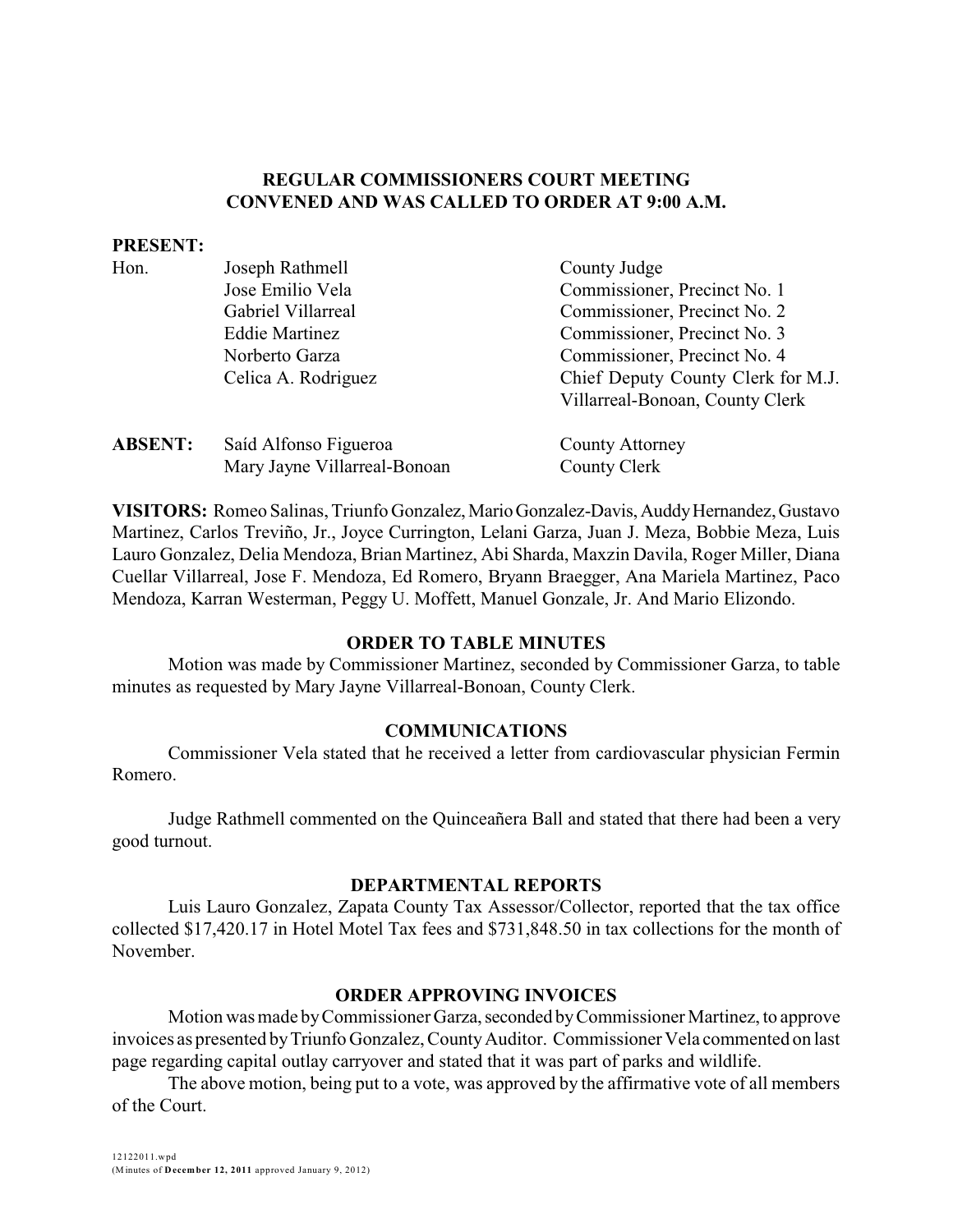#### **REGULAR COMMISSIONERS COURT MEETING CONVENED AND WAS CALLED TO ORDER AT 9:00 A.M.**

#### **PRESENT:**

| Hon.           | Joseph Rathmell              | County Judge                       |
|----------------|------------------------------|------------------------------------|
|                | Jose Emilio Vela             | Commissioner, Precinct No. 1       |
|                | Gabriel Villarreal           | Commissioner, Precinct No. 2       |
|                | <b>Eddie Martinez</b>        | Commissioner, Precinct No. 3       |
|                | Norberto Garza               | Commissioner, Precinct No. 4       |
|                | Celica A. Rodriguez          | Chief Deputy County Clerk for M.J. |
|                |                              | Villarreal-Bonoan, County Clerk    |
| <b>ABSENT:</b> | Saíd Alfonso Figueroa        | <b>County Attorney</b>             |
|                | Mary Jayne Villarreal-Bonoan | County Clerk                       |

VISITORS: Romeo Salinas, Triunfo Gonzalez, Mario Gonzalez-Davis, Auddy Hernandez, Gustavo Martinez, Carlos Treviño, Jr., Joyce Currington, Lelani Garza, Juan J. Meza, Bobbie Meza, Luis Lauro Gonzalez, Delia Mendoza, Brian Martinez, Abi Sharda, Maxzin Davila, Roger Miller, Diana Cuellar Villarreal, Jose F. Mendoza, Ed Romero, Bryann Braegger, Ana Mariela Martinez, Paco Mendoza, Karran Westerman, Peggy U. Moffett, Manuel Gonzale, Jr. And Mario Elizondo.

#### **ORDER TO TABLE MINUTES**

Motion was made by Commissioner Martinez, seconded by Commissioner Garza, to table minutes as requested by Mary Jayne Villarreal-Bonoan, County Clerk.

#### **COMMUNICATIONS**

Commissioner Vela stated that he received a letter from cardiovascular physician Fermin Romero.

Judge Rathmell commented on the Quinceañera Ball and stated that there had been a very good turnout.

#### **DEPARTMENTAL REPORTS**

Luis Lauro Gonzalez, Zapata County Tax Assessor/Collector, reported that the tax office collected \$17,420.17 in Hotel Motel Tax fees and \$731,848.50 in tax collections for the month of November.

#### **ORDER APPROVING INVOICES**

Motion was made by Commissioner Garza, seconded by Commissioner Martinez, to approve invoices as presented byTriunfo Gonzalez, CountyAuditor. Commissioner Vela commented on last page regarding capital outlay carryover and stated that it was part of parks and wildlife.

The above motion, being put to a vote, was approved by the affirmative vote of all members of the Court.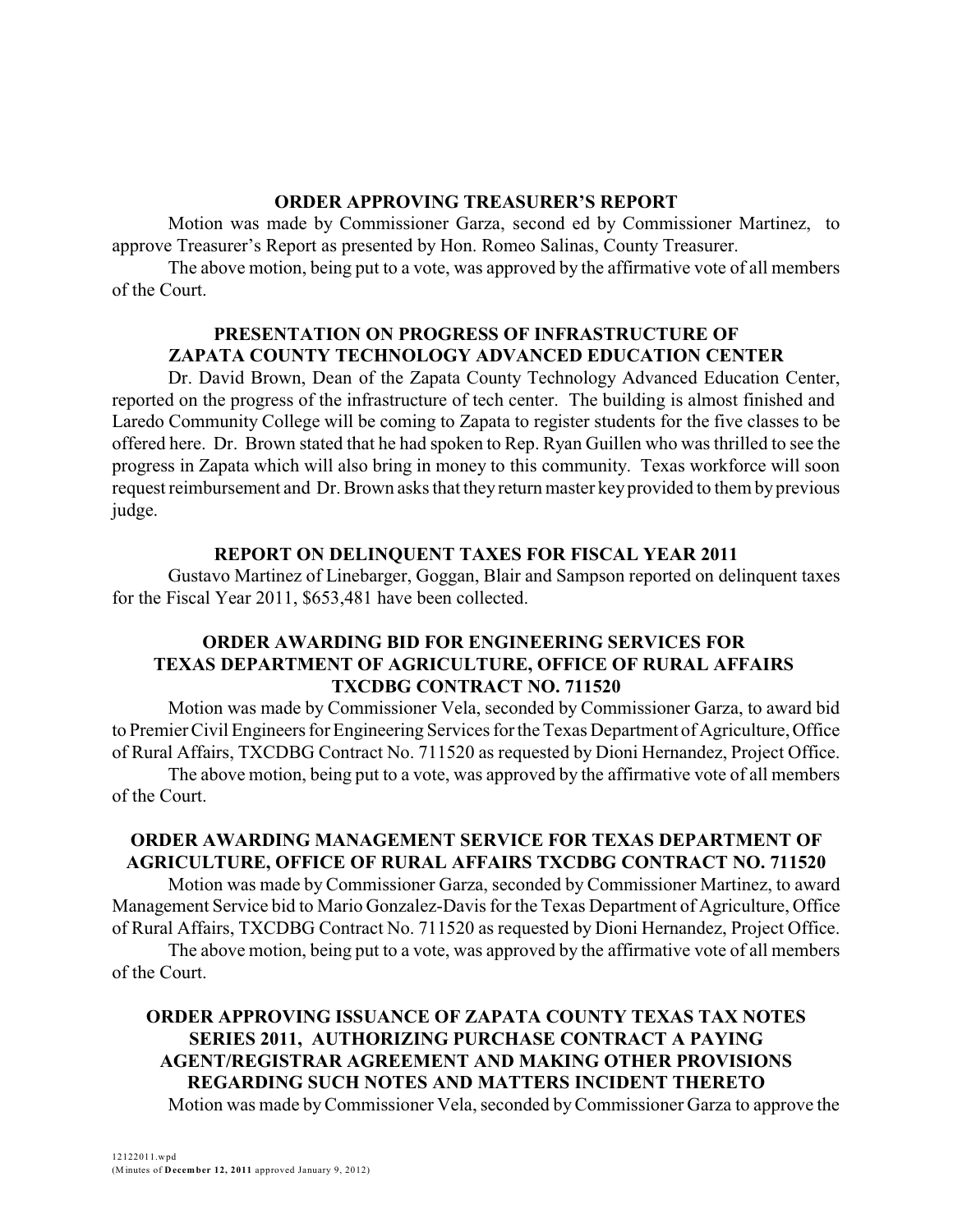#### **ORDER APPROVING TREASURER'S REPORT**

Motion was made by Commissioner Garza, second ed by Commissioner Martinez, to approve Treasurer's Report as presented by Hon. Romeo Salinas, County Treasurer.

The above motion, being put to a vote, was approved by the affirmative vote of all members of the Court.

#### **PRESENTATION ON PROGRESS OF INFRASTRUCTURE OF ZAPATA COUNTY TECHNOLOGY ADVANCED EDUCATION CENTER**

Dr. David Brown, Dean of the Zapata County Technology Advanced Education Center, reported on the progress of the infrastructure of tech center. The building is almost finished and Laredo Community College will be coming to Zapata to register students for the five classes to be offered here. Dr. Brown stated that he had spoken to Rep. Ryan Guillen who was thrilled to see the progress in Zapata which will also bring in money to this community. Texas workforce will soon request reimbursement and Dr. Brown asks that they return master keyprovided to them by previous judge.

#### **REPORT ON DELINQUENT TAXES FOR FISCAL YEAR 2011**

Gustavo Martinez of Linebarger, Goggan, Blair and Sampson reported on delinquent taxes for the Fiscal Year 2011, \$653,481 have been collected.

#### **ORDER AWARDING BID FOR ENGINEERING SERVICES FOR TEXAS DEPARTMENT OF AGRICULTURE, OFFICE OF RURAL AFFAIRS TXCDBG CONTRACT NO. 711520**

Motion was made by Commissioner Vela, seconded by Commissioner Garza, to award bid to Premier Civil Engineers for Engineering Services for the Texas Department of Agriculture, Office of Rural Affairs, TXCDBG Contract No. 711520 as requested by Dioni Hernandez, Project Office.

The above motion, being put to a vote, was approved by the affirmative vote of all members of the Court.

## **ORDER AWARDING MANAGEMENT SERVICE FOR TEXAS DEPARTMENT OF AGRICULTURE, OFFICE OF RURAL AFFAIRS TXCDBG CONTRACT NO. 711520**

Motion was made by Commissioner Garza, seconded by Commissioner Martinez, to award Management Service bid to Mario Gonzalez-Davis for the Texas Department of Agriculture, Office of Rural Affairs, TXCDBG Contract No. 711520 as requested by Dioni Hernandez, Project Office.

The above motion, being put to a vote, was approved by the affirmative vote of all members of the Court.

# **ORDER APPROVING ISSUANCE OF ZAPATA COUNTY TEXAS TAX NOTES SERIES 2011, AUTHORIZING PURCHASE CONTRACT A PAYING AGENT/REGISTRAR AGREEMENT AND MAKING OTHER PROVISIONS REGARDING SUCH NOTES AND MATTERS INCIDENT THERETO**

Motion was made byCommissioner Vela, seconded byCommissioner Garza to approve the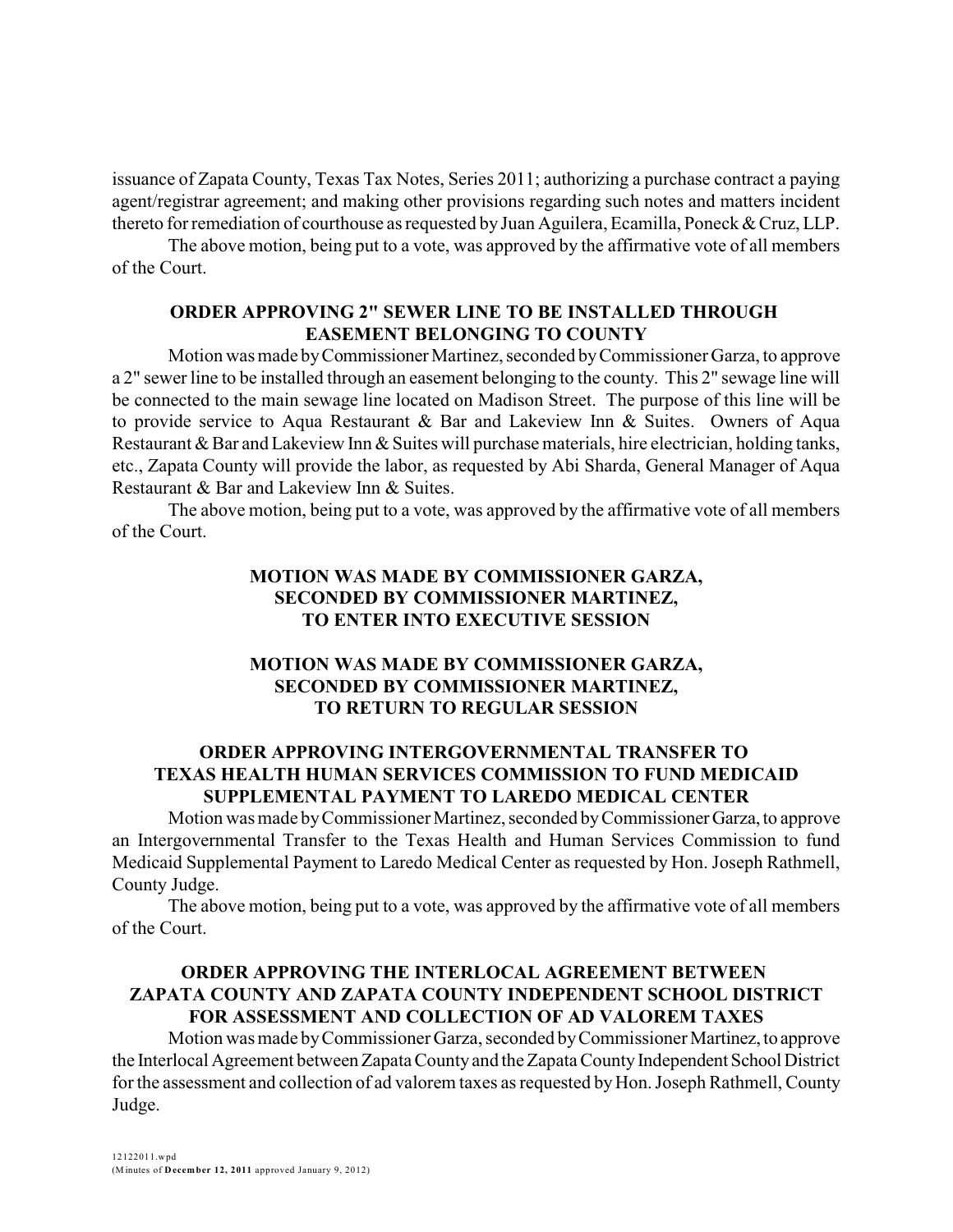issuance of Zapata County, Texas Tax Notes, Series 2011; authorizing a purchase contract a paying agent/registrar agreement; and making other provisions regarding such notes and matters incident thereto for remediation of courthouse as requested by Juan Aguilera, Ecamilla, Poneck & Cruz, LLP.

The above motion, being put to a vote, was approved by the affirmative vote of all members of the Court.

## **ORDER APPROVING 2" SEWER LINE TO BE INSTALLED THROUGH EASEMENT BELONGING TO COUNTY**

Motion was made by Commissioner Martinez, seconded by Commissioner Garza, to approve a 2" sewer line to be installed through an easement belonging to the county. This 2" sewage line will be connected to the main sewage line located on Madison Street. The purpose of this line will be to provide service to Aqua Restaurant & Bar and Lakeview Inn & Suites. Owners of Aqua Restaurant & Bar and Lakeview Inn & Suites will purchase materials, hire electrician, holding tanks, etc., Zapata County will provide the labor, as requested by Abi Sharda, General Manager of Aqua Restaurant & Bar and Lakeview Inn & Suites.

The above motion, being put to a vote, was approved by the affirmative vote of all members of the Court.

## **MOTION WAS MADE BY COMMISSIONER GARZA, SECONDED BY COMMISSIONER MARTINEZ, TO ENTER INTO EXECUTIVE SESSION**

## **MOTION WAS MADE BY COMMISSIONER GARZA, SECONDED BY COMMISSIONER MARTINEZ, TO RETURN TO REGULAR SESSION**

# **ORDER APPROVING INTERGOVERNMENTAL TRANSFER TO TEXAS HEALTH HUMAN SERVICES COMMISSION TO FUND MEDICAID SUPPLEMENTAL PAYMENT TO LAREDO MEDICAL CENTER**

Motion was made byCommissioner Martinez, seconded byCommissionerGarza, to approve an Intergovernmental Transfer to the Texas Health and Human Services Commission to fund Medicaid Supplemental Payment to Laredo Medical Center as requested by Hon. Joseph Rathmell, County Judge.

The above motion, being put to a vote, was approved by the affirmative vote of all members of the Court.

## **ORDER APPROVING THE INTERLOCAL AGREEMENT BETWEEN ZAPATA COUNTY AND ZAPATA COUNTY INDEPENDENT SCHOOL DISTRICT FOR ASSESSMENT AND COLLECTION OF AD VALOREM TAXES**

Motion was made byCommissioner Garza, seconded byCommissioner Martinez,to approve the Interlocal Agreement between Zapata County and the Zapata County Independent School District for the assessment and collection of ad valorem taxes as requested by Hon. Joseph Rathmell, County Judge.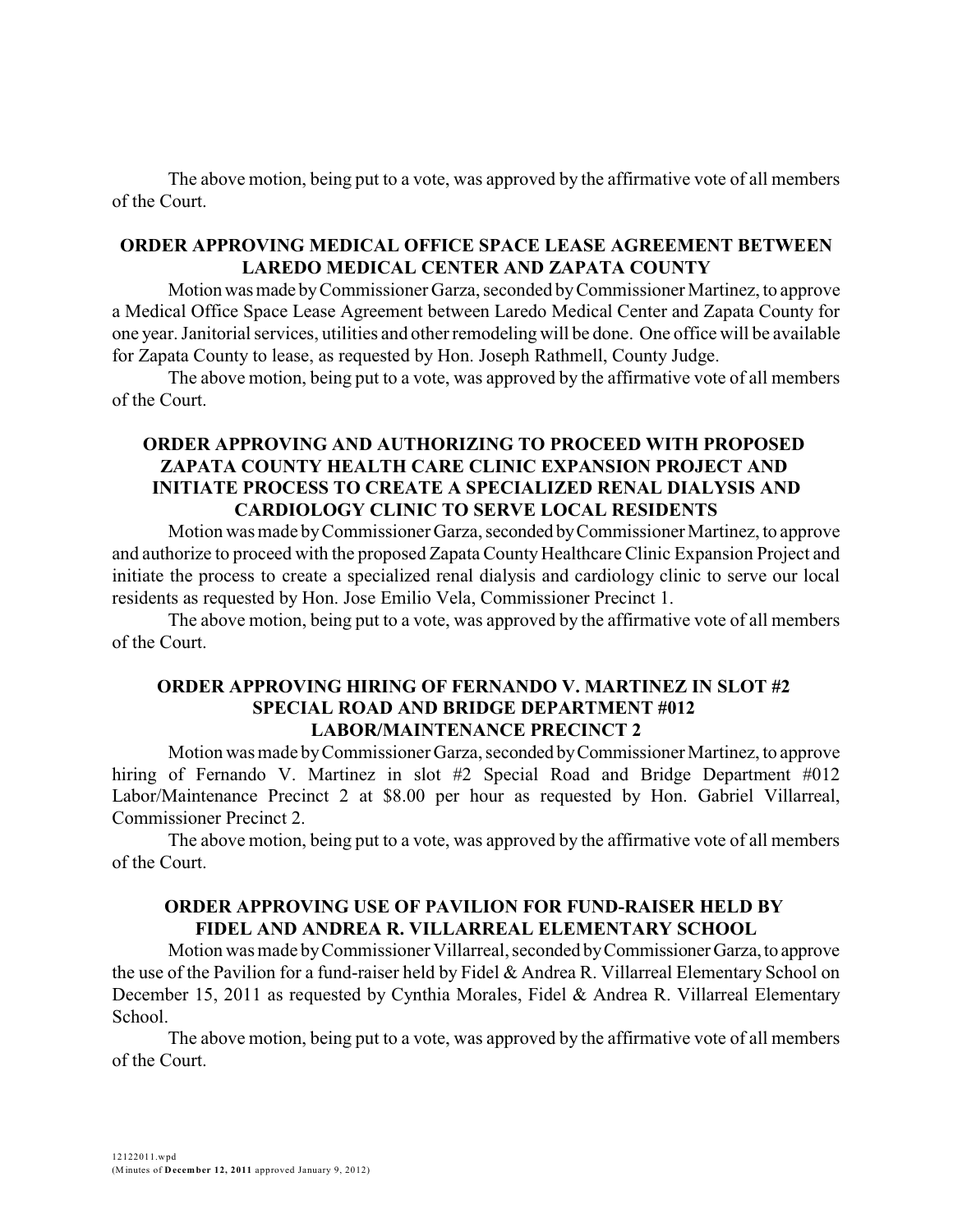The above motion, being put to a vote, was approved by the affirmative vote of all members of the Court.

#### **ORDER APPROVING MEDICAL OFFICE SPACE LEASE AGREEMENT BETWEEN LAREDO MEDICAL CENTER AND ZAPATA COUNTY**

Motion was made by Commissioner Garza, seconded by Commissioner Martinez, to approve a Medical Office Space Lease Agreement between Laredo Medical Center and Zapata County for one year. Janitorial services, utilities and other remodeling will be done. One office will be available for Zapata County to lease, as requested by Hon. Joseph Rathmell, County Judge.

The above motion, being put to a vote, was approved by the affirmative vote of all members of the Court.

## **ORDER APPROVING AND AUTHORIZING TO PROCEED WITH PROPOSED ZAPATA COUNTY HEALTH CARE CLINIC EXPANSION PROJECT AND INITIATE PROCESS TO CREATE A SPECIALIZED RENAL DIALYSIS AND CARDIOLOGY CLINIC TO SERVE LOCAL RESIDENTS**

Motion was made byCommissioner Garza, seconded byCommissioner Martinez, to approve and authorize to proceed with the proposed Zapata County Healthcare Clinic Expansion Project and initiate the process to create a specialized renal dialysis and cardiology clinic to serve our local residents as requested by Hon. Jose Emilio Vela, Commissioner Precinct 1.

The above motion, being put to a vote, was approved by the affirmative vote of all members of the Court.

#### **ORDER APPROVING HIRING OF FERNANDO V. MARTINEZ IN SLOT #2 SPECIAL ROAD AND BRIDGE DEPARTMENT #012 LABOR/MAINTENANCE PRECINCT 2**

Motion was made by Commissioner Garza, seconded by Commissioner Martinez, to approve hiring of Fernando V. Martinez in slot #2 Special Road and Bridge Department #012 Labor/Maintenance Precinct 2 at \$8.00 per hour as requested by Hon. Gabriel Villarreal, Commissioner Precinct 2.

The above motion, being put to a vote, was approved by the affirmative vote of all members of the Court.

# **ORDER APPROVING USE OF PAVILION FOR FUND-RAISER HELD BY FIDEL AND ANDREA R. VILLARREAL ELEMENTARY SCHOOL**

Motion was made byCommissioner Villarreal, seconded byCommissionerGarza,to approve the use of the Pavilion for a fund-raiser held by Fidel & Andrea R. Villarreal Elementary School on December 15, 2011 as requested by Cynthia Morales, Fidel & Andrea R. Villarreal Elementary School.

The above motion, being put to a vote, was approved by the affirmative vote of all members of the Court.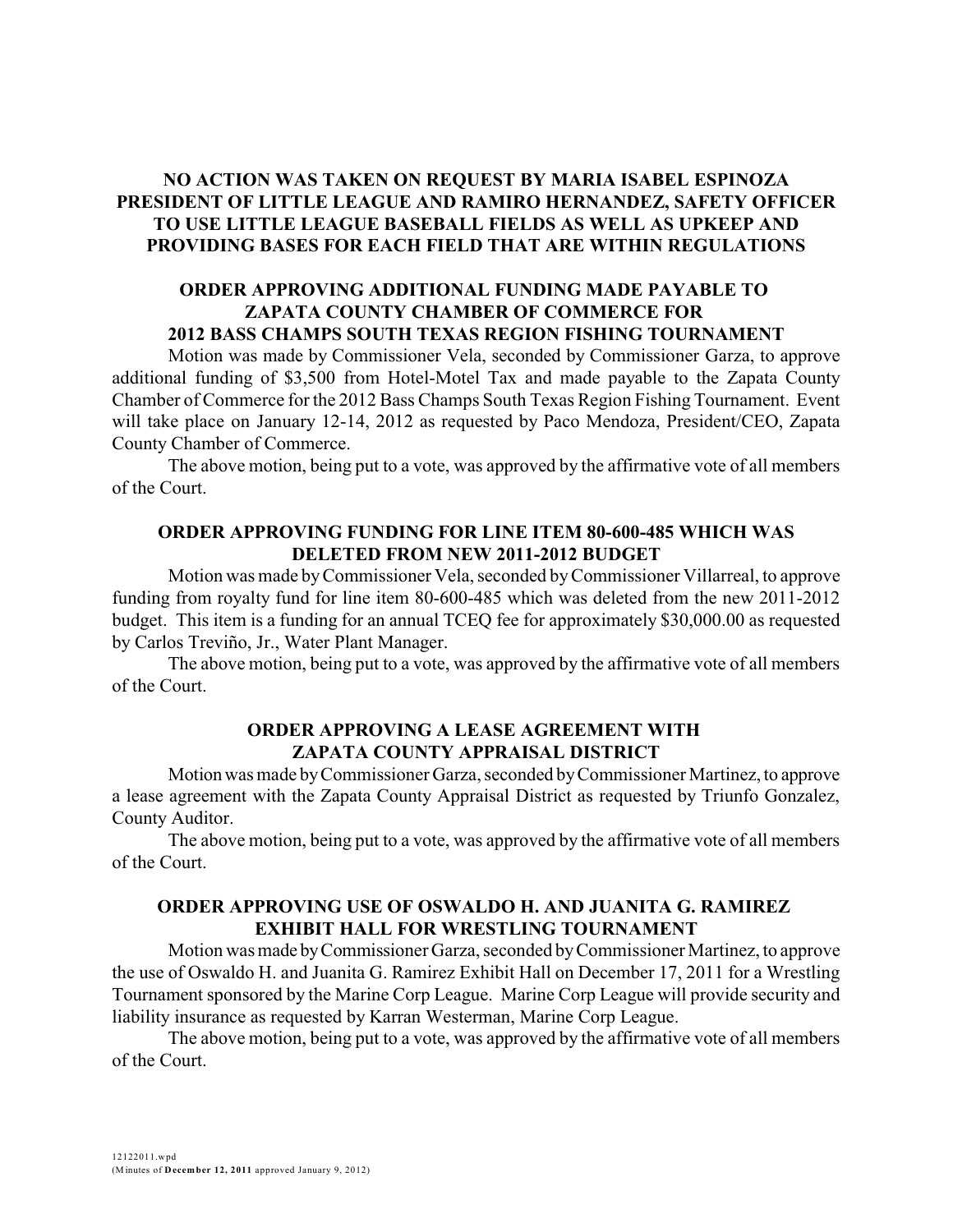## **NO ACTION WAS TAKEN ON REQUEST BY MARIA ISABEL ESPINOZA PRESIDENT OF LITTLE LEAGUE AND RAMIRO HERNANDEZ, SAFETY OFFICER TO USE LITTLE LEAGUE BASEBALL FIELDS AS WELL AS UPKEEP AND PROVIDING BASES FOR EACH FIELD THAT ARE WITHIN REGULATIONS**

#### **ORDER APPROVING ADDITIONAL FUNDING MADE PAYABLE TO ZAPATA COUNTY CHAMBER OF COMMERCE FOR 2012 BASS CHAMPS SOUTH TEXAS REGION FISHING TOURNAMENT**

Motion was made by Commissioner Vela, seconded by Commissioner Garza, to approve additional funding of \$3,500 from Hotel-Motel Tax and made payable to the Zapata County Chamber of Commerce for the 2012 Bass Champs South Texas Region Fishing Tournament. Event will take place on January 12-14, 2012 as requested by Paco Mendoza, President/CEO, Zapata County Chamber of Commerce.

The above motion, being put to a vote, was approved by the affirmative vote of all members of the Court.

#### **ORDER APPROVING FUNDING FOR LINE ITEM 80-600-485 WHICH WAS DELETED FROM NEW 2011-2012 BUDGET**

Motion was made byCommissioner Vela, seconded byCommissioner Villarreal, to approve funding from royalty fund for line item 80-600-485 which was deleted from the new 2011-2012 budget. This item is a funding for an annual TCEQ fee for approximately \$30,000.00 as requested by Carlos Treviño, Jr., Water Plant Manager.

The above motion, being put to a vote, was approved by the affirmative vote of all members of the Court.

#### **ORDER APPROVING A LEASE AGREEMENT WITH ZAPATA COUNTY APPRAISAL DISTRICT**

Motionwas made byCommissioner Garza, seconded byCommissioner Martinez, to approve a lease agreement with the Zapata County Appraisal District as requested by Triunfo Gonzalez, County Auditor.

The above motion, being put to a vote, was approved by the affirmative vote of all members of the Court.

## **ORDER APPROVING USE OF OSWALDO H. AND JUANITA G. RAMIREZ EXHIBIT HALL FOR WRESTLING TOURNAMENT**

Motion was made byCommissioner Garza, seconded byCommissioner Martinez, to approve the use of Oswaldo H. and Juanita G. Ramirez Exhibit Hall on December 17, 2011 for a Wrestling Tournament sponsored by the Marine Corp League. Marine Corp League will provide security and liability insurance as requested by Karran Westerman, Marine Corp League.

The above motion, being put to a vote, was approved by the affirmative vote of all members of the Court.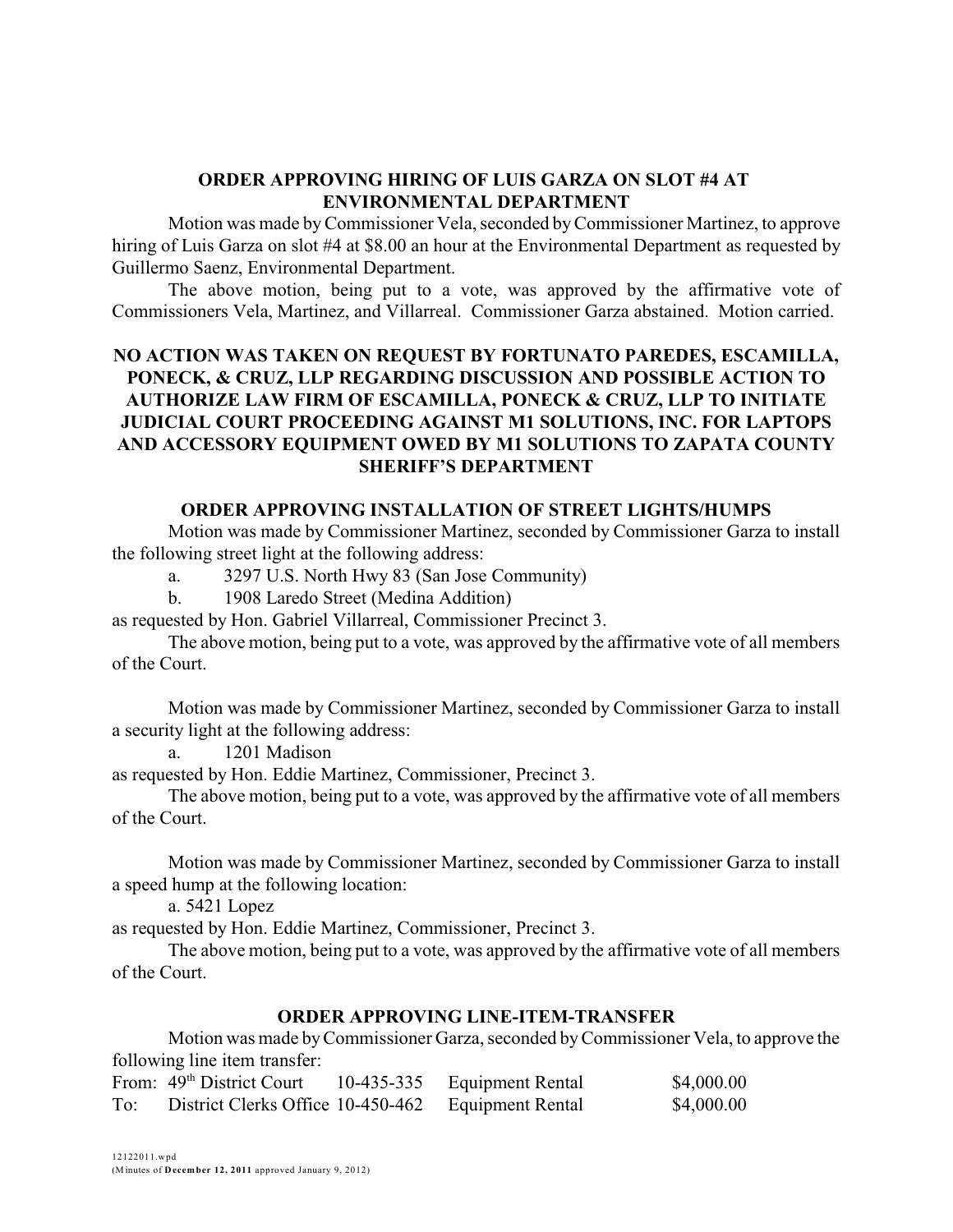#### **ORDER APPROVING HIRING OF LUIS GARZA ON SLOT #4 AT ENVIRONMENTAL DEPARTMENT**

Motion was made byCommissioner Vela, seconded byCommissioner Martinez, to approve hiring of Luis Garza on slot #4 at \$8.00 an hour at the Environmental Department as requested by Guillermo Saenz, Environmental Department.

The above motion, being put to a vote, was approved by the affirmative vote of Commissioners Vela, Martinez, and Villarreal. Commissioner Garza abstained. Motion carried.

# **NO ACTION WAS TAKEN ON REQUEST BY FORTUNATO PAREDES, ESCAMILLA, PONECK, & CRUZ, LLP REGARDING DISCUSSION AND POSSIBLE ACTION TO AUTHORIZE LAW FIRM OF ESCAMILLA, PONECK & CRUZ, LLP TO INITIATE JUDICIAL COURT PROCEEDING AGAINST M1 SOLUTIONS, INC. FOR LAPTOPS AND ACCESSORY EQUIPMENT OWED BY M1 SOLUTIONS TO ZAPATA COUNTY SHERIFF'S DEPARTMENT**

## **ORDER APPROVING INSTALLATION OF STREET LIGHTS/HUMPS**

Motion was made by Commissioner Martinez, seconded by Commissioner Garza to install the following street light at the following address:

a. 3297 U.S. North Hwy 83 (San Jose Community)

b. 1908 Laredo Street (Medina Addition)

as requested by Hon. Gabriel Villarreal, Commissioner Precinct 3.

The above motion, being put to a vote, was approved by the affirmative vote of all members of the Court.

Motion was made by Commissioner Martinez, seconded by Commissioner Garza to install a security light at the following address:

a. 1201 Madison

as requested by Hon. Eddie Martinez, Commissioner, Precinct 3.

The above motion, being put to a vote, was approved by the affirmative vote of all members of the Court.

Motion was made by Commissioner Martinez, seconded by Commissioner Garza to install a speed hump at the following location:

a. 5421 Lopez

as requested by Hon. Eddie Martinez, Commissioner, Precinct 3.

The above motion, being put to a vote, was approved by the affirmative vote of all members of the Court.

## **ORDER APPROVING LINE-ITEM-TRANSFER**

Motion was made byCommissioner Garza, seconded byCommissioner Vela, to approve the following line item transfer:

|     | From: 49 <sup>th</sup> District Court | 10-435-335 Equipment Rental | \$4,000.00 |
|-----|---------------------------------------|-----------------------------|------------|
| To: | District Clerks Office 10-450-462     | Equipment Rental            | \$4,000.00 |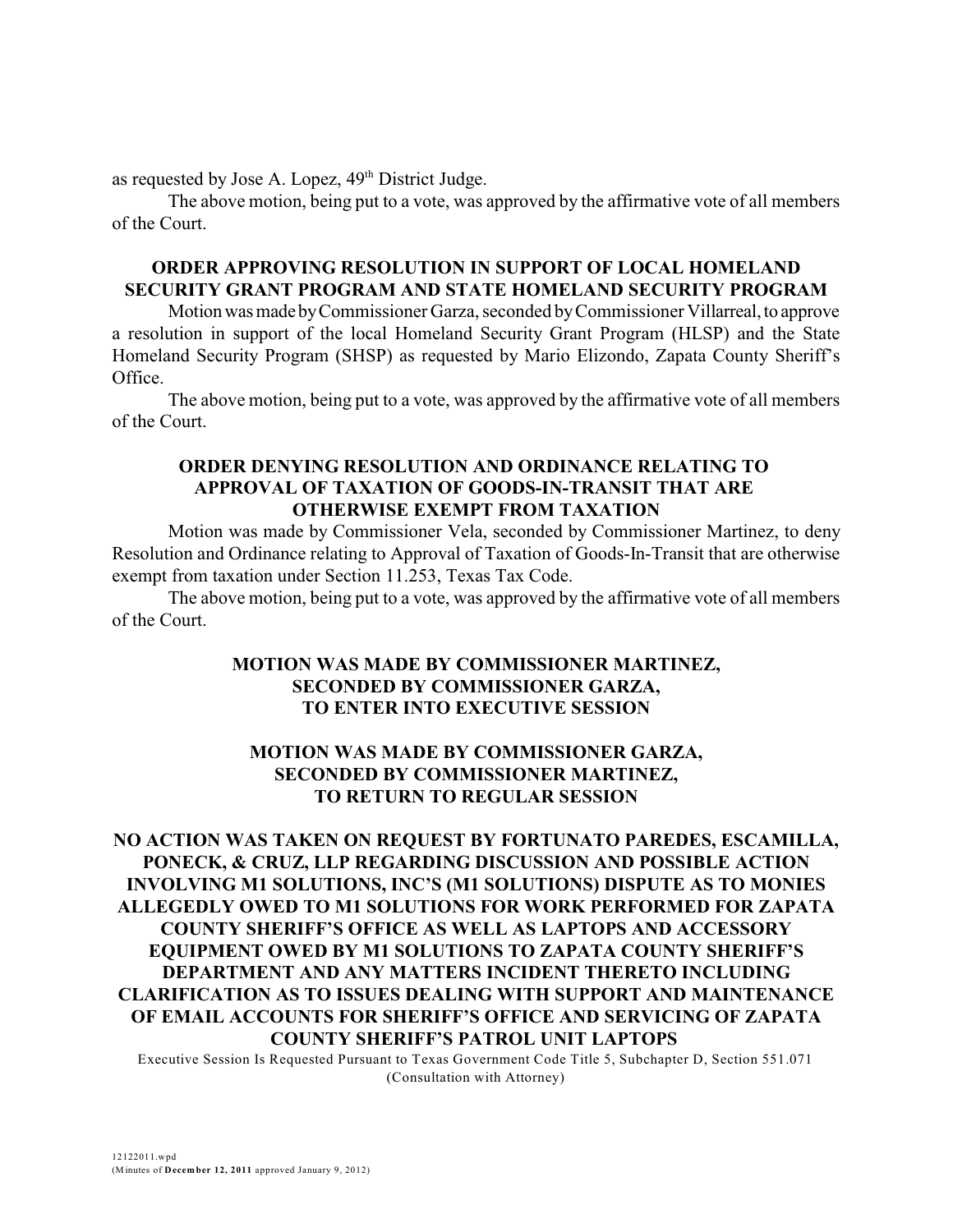as requested by Jose A. Lopez,  $49<sup>th</sup>$  District Judge.

The above motion, being put to a vote, was approved by the affirmative vote of all members of the Court.

## **ORDER APPROVING RESOLUTION IN SUPPORT OF LOCAL HOMELAND SECURITY GRANT PROGRAM AND STATE HOMELAND SECURITY PROGRAM**

Motionwasmade byCommissioner Garza, seconded byCommissioner Villarreal,to approve a resolution in support of the local Homeland Security Grant Program (HLSP) and the State Homeland Security Program (SHSP) as requested by Mario Elizondo, Zapata County Sheriff's Office.

The above motion, being put to a vote, was approved by the affirmative vote of all members of the Court.

#### **ORDER DENYING RESOLUTION AND ORDINANCE RELATING TO APPROVAL OF TAXATION OF GOODS-IN-TRANSIT THAT ARE OTHERWISE EXEMPT FROM TAXATION**

Motion was made by Commissioner Vela, seconded by Commissioner Martinez, to deny Resolution and Ordinance relating to Approval of Taxation of Goods-In-Transit that are otherwise exempt from taxation under Section 11.253, Texas Tax Code.

The above motion, being put to a vote, was approved by the affirmative vote of all members of the Court.

## **MOTION WAS MADE BY COMMISSIONER MARTINEZ, SECONDED BY COMMISSIONER GARZA, TO ENTER INTO EXECUTIVE SESSION**

# **MOTION WAS MADE BY COMMISSIONER GARZA, SECONDED BY COMMISSIONER MARTINEZ, TO RETURN TO REGULAR SESSION**

**NO ACTION WAS TAKEN ON REQUEST BY FORTUNATO PAREDES, ESCAMILLA, PONECK, & CRUZ, LLP REGARDING DISCUSSION AND POSSIBLE ACTION INVOLVING M1 SOLUTIONS, INC'S (M1 SOLUTIONS) DISPUTE AS TO MONIES ALLEGEDLY OWED TO M1 SOLUTIONS FOR WORK PERFORMED FOR ZAPATA COUNTY SHERIFF'S OFFICE AS WELL AS LAPTOPS AND ACCESSORY EQUIPMENT OWED BY M1 SOLUTIONS TO ZAPATA COUNTY SHERIFF'S DEPARTMENT AND ANY MATTERS INCIDENT THERETO INCLUDING CLARIFICATION AS TO ISSUES DEALING WITH SUPPORT AND MAINTENANCE OF EMAIL ACCOUNTS FOR SHERIFF'S OFFICE AND SERVICING OF ZAPATA COUNTY SHERIFF'S PATROL UNIT LAPTOPS** 

Executive Session Is Requested Pursuant to Texas Government Code Title 5, Subchapter D, Section 551.071 (Consultation with Attorney)